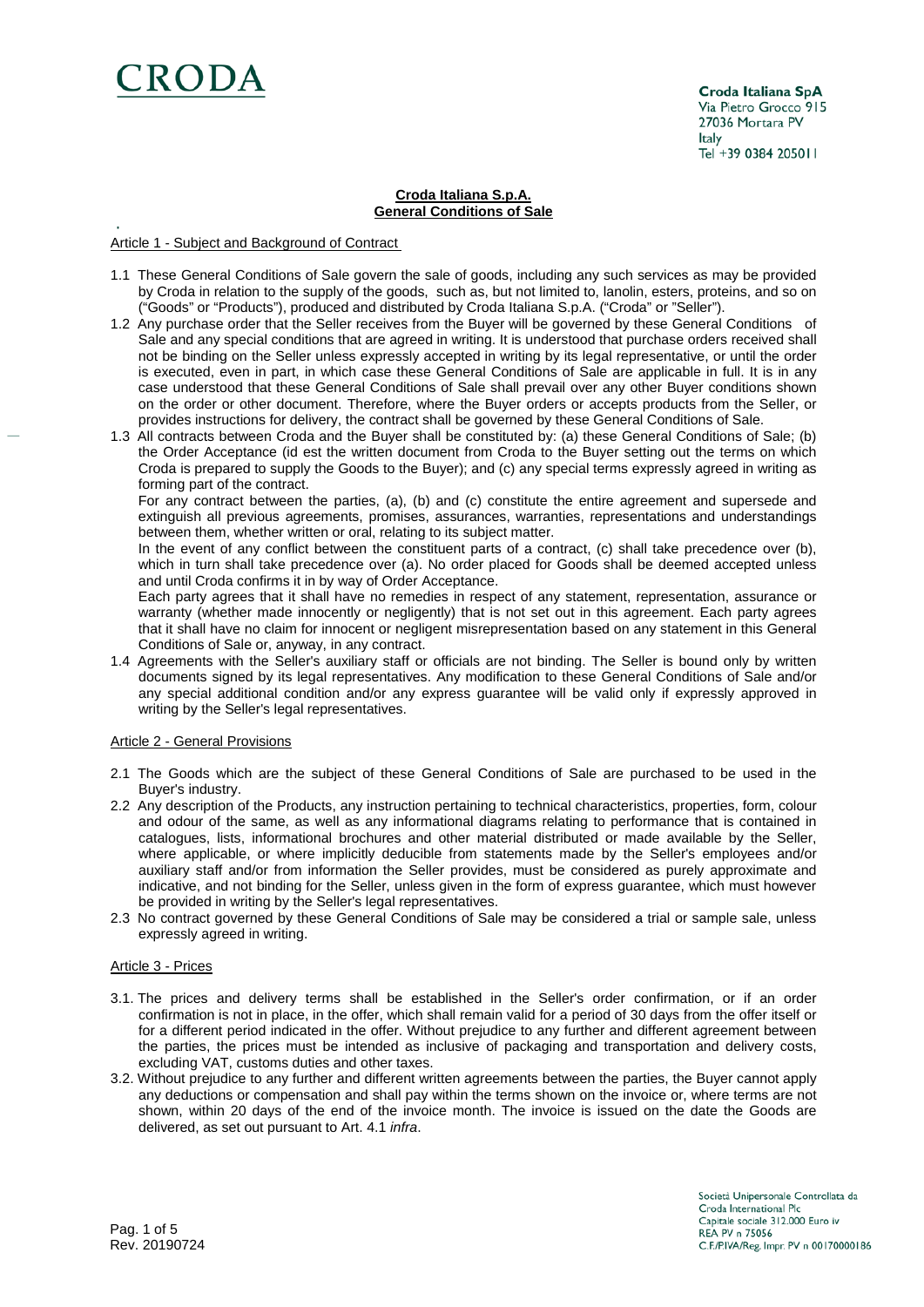

Croda Italiana SpA Via Pietro Grocco 915 27036 Mortara PV Italy Tel +39 0384 205011

### **Croda Italiana S.p.A. General Conditions of Sale**

# Article 1 - Subject and Background of Contract

- 1.1 These General Conditions of Sale govern the sale of goods, including any such services as may be provided by Croda in relation to the supply of the goods, such as, but not limited to, lanolin, esters, proteins, and so on ("Goods" or "Products"), produced and distributed by Croda Italiana S.p.A. ("Croda" or "Seller").
- 1.2 Any purchase order that the Seller receives from the Buyer will be governed by these General Conditions of Sale and any special conditions that are agreed in writing. It is understood that purchase orders received shall not be binding on the Seller unless expressly accepted in writing by its legal representative, or until the order is executed, even in part, in which case these General Conditions of Sale are applicable in full. It is in any case understood that these General Conditions of Sale shall prevail over any other Buyer conditions shown on the order or other document. Therefore, where the Buyer orders or accepts products from the Seller, or provides instructions for delivery, the contract shall be governed by these General Conditions of Sale.
- 1.3 All contracts between Croda and the Buyer shall be constituted by: (a) these General Conditions of Sale; (b) the Order Acceptance (id est the written document from Croda to the Buyer setting out the terms on which Croda is prepared to supply the Goods to the Buyer); and (c) any special terms expressly agreed in writing as forming part of the contract.

For any contract between the parties, (a), (b) and (c) constitute the entire agreement and supersede and extinguish all previous agreements, promises, assurances, warranties, representations and understandings between them, whether written or oral, relating to its subject matter.

In the event of any conflict between the constituent parts of a contract, (c) shall take precedence over (b), which in turn shall take precedence over (a). No order placed for Goods shall be deemed accepted unless and until Croda confirms it in by way of Order Acceptance.

Each party agrees that it shall have no remedies in respect of any statement, representation, assurance or warranty (whether made innocently or negligently) that is not set out in this agreement. Each party agrees that it shall have no claim for innocent or negligent misrepresentation based on any statement in this General Conditions of Sale or, anyway, in any contract.

1.4 Agreements with the Seller's auxiliary staff or officials are not binding. The Seller is bound only by written documents signed by its legal representatives. Any modification to these General Conditions of Sale and/or any special additional condition and/or any express guarantee will be valid only if expressly approved in writing by the Seller's legal representatives.

### Article 2 - General Provisions

- 2.1 The Goods which are the subject of these General Conditions of Sale are purchased to be used in the Buyer's industry.
- 2.2 Any description of the Products, any instruction pertaining to technical characteristics, properties, form, colour and odour of the same, as well as any informational diagrams relating to performance that is contained in catalogues, lists, informational brochures and other material distributed or made available by the Seller, where applicable, or where implicitly deducible from statements made by the Seller's employees and/or auxiliary staff and/or from information the Seller provides, must be considered as purely approximate and indicative, and not binding for the Seller, unless given in the form of express guarantee, which must however be provided in writing by the Seller's legal representatives.
- 2.3 No contract governed by these General Conditions of Sale may be considered a trial or sample sale, unless expressly agreed in writing.

### Article 3 - Prices

- 3.1. The prices and delivery terms shall be established in the Seller's order confirmation, or if an order confirmation is not in place, in the offer, which shall remain valid for a period of 30 days from the offer itself or for a different period indicated in the offer. Without prejudice to any further and different agreement between the parties, the prices must be intended as inclusive of packaging and transportation and delivery costs, excluding VAT, customs duties and other taxes.
- 3.2. Without prejudice to any further and different written agreements between the parties, the Buyer cannot apply any deductions or compensation and shall pay within the terms shown on the invoice or, where terms are not shown, within 20 days of the end of the invoice month. The invoice is issued on the date the Goods are delivered, as set out pursuant to Art. 4.1 *infra*.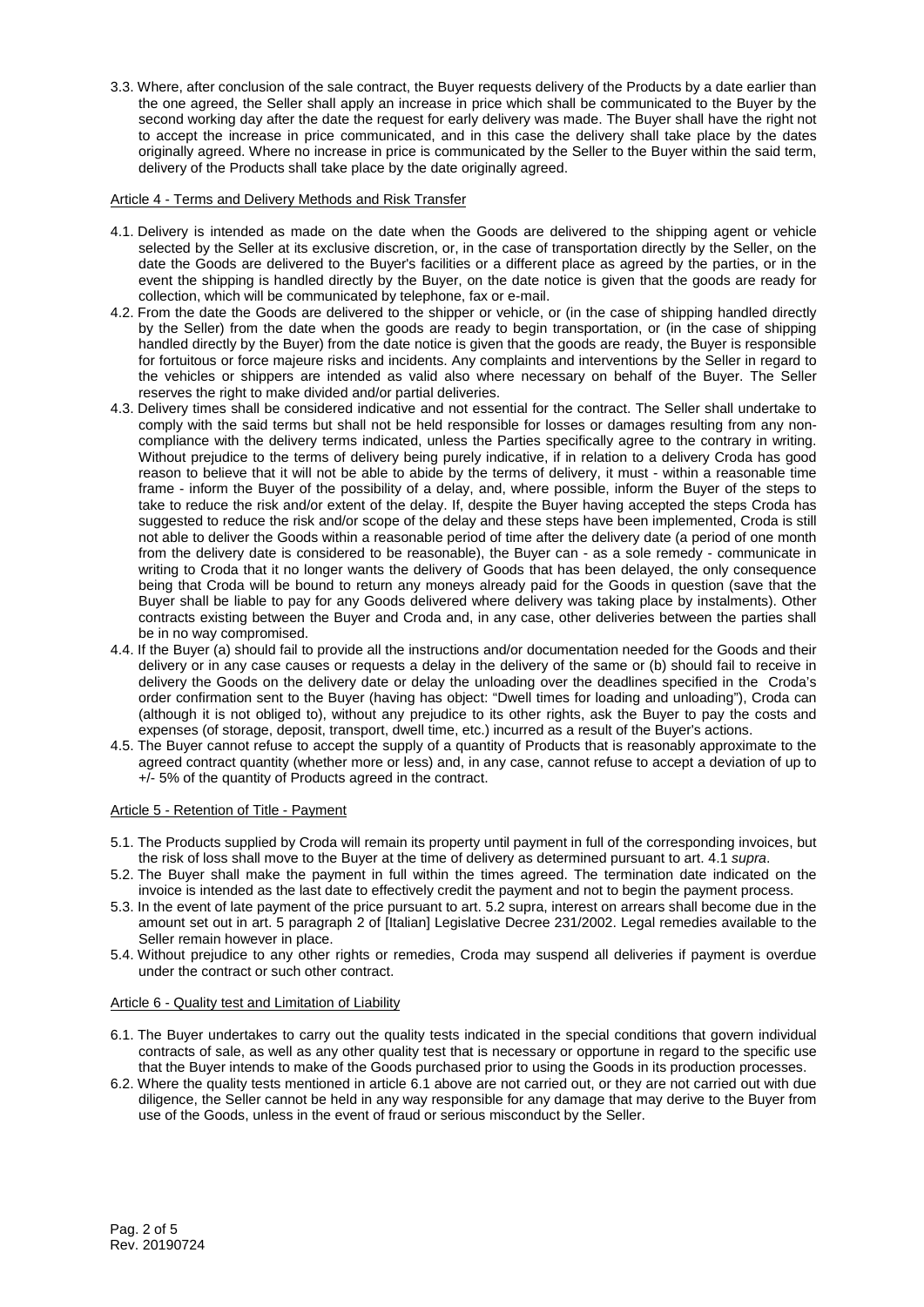3.3. Where, after conclusion of the sale contract, the Buyer requests delivery of the Products by a date earlier than the one agreed, the Seller shall apply an increase in price which shall be communicated to the Buyer by the second working day after the date the request for early delivery was made. The Buyer shall have the right not to accept the increase in price communicated, and in this case the delivery shall take place by the dates originally agreed. Where no increase in price is communicated by the Seller to the Buyer within the said term, delivery of the Products shall take place by the date originally agreed.

# Article 4 - Terms and Delivery Methods and Risk Transfer

- 4.1. Delivery is intended as made on the date when the Goods are delivered to the shipping agent or vehicle selected by the Seller at its exclusive discretion, or, in the case of transportation directly by the Seller, on the date the Goods are delivered to the Buyer's facilities or a different place as agreed by the parties, or in the event the shipping is handled directly by the Buyer, on the date notice is given that the goods are ready for collection, which will be communicated by telephone, fax or e-mail.
- 4.2. From the date the Goods are delivered to the shipper or vehicle, or (in the case of shipping handled directly by the Seller) from the date when the goods are ready to begin transportation, or (in the case of shipping handled directly by the Buyer) from the date notice is given that the goods are ready, the Buyer is responsible for fortuitous or force majeure risks and incidents. Any complaints and interventions by the Seller in regard to the vehicles or shippers are intended as valid also where necessary on behalf of the Buyer. The Seller reserves the right to make divided and/or partial deliveries.
- 4.3. Delivery times shall be considered indicative and not essential for the contract. The Seller shall undertake to comply with the said terms but shall not be held responsible for losses or damages resulting from any noncompliance with the delivery terms indicated, unless the Parties specifically agree to the contrary in writing. Without prejudice to the terms of delivery being purely indicative, if in relation to a delivery Croda has good reason to believe that it will not be able to abide by the terms of delivery, it must - within a reasonable time frame - inform the Buyer of the possibility of a delay, and, where possible, inform the Buyer of the steps to take to reduce the risk and/or extent of the delay. If, despite the Buyer having accepted the steps Croda has suggested to reduce the risk and/or scope of the delay and these steps have been implemented, Croda is still not able to deliver the Goods within a reasonable period of time after the delivery date (a period of one month from the delivery date is considered to be reasonable), the Buyer can - as a sole remedy - communicate in writing to Croda that it no longer wants the delivery of Goods that has been delayed, the only consequence being that Croda will be bound to return any moneys already paid for the Goods in question (save that the Buyer shall be liable to pay for any Goods delivered where delivery was taking place by instalments). Other contracts existing between the Buyer and Croda and, in any case, other deliveries between the parties shall be in no way compromised.
- 4.4. If the Buyer (a) should fail to provide all the instructions and/or documentation needed for the Goods and their delivery or in any case causes or requests a delay in the delivery of the same or (b) should fail to receive in delivery the Goods on the delivery date or delay the unloading over the deadlines specified in the Croda's order confirmation sent to the Buyer (having has object: "Dwell times for loading and unloading"), Croda can (although it is not obliged to), without any prejudice to its other rights, ask the Buyer to pay the costs and expenses (of storage, deposit, transport, dwell time, etc.) incurred as a result of the Buyer's actions.
- 4.5. The Buyer cannot refuse to accept the supply of a quantity of Products that is reasonably approximate to the agreed contract quantity (whether more or less) and, in any case, cannot refuse to accept a deviation of up to +/- 5% of the quantity of Products agreed in the contract.

# Article 5 - Retention of Title - Payment

- 5.1. The Products supplied by Croda will remain its property until payment in full of the corresponding invoices, but the risk of loss shall move to the Buyer at the time of delivery as determined pursuant to art. 4.1 *supra*.
- 5.2. The Buyer shall make the payment in full within the times agreed. The termination date indicated on the invoice is intended as the last date to effectively credit the payment and not to begin the payment process.
- 5.3. In the event of late payment of the price pursuant to art. 5.2 supra, interest on arrears shall become due in the amount set out in art. 5 paragraph 2 of [Italian] Legislative Decree 231/2002. Legal remedies available to the Seller remain however in place.
- 5.4. Without prejudice to any other rights or remedies, Croda may suspend all deliveries if payment is overdue under the contract or such other contract.

### Article 6 - Quality test and Limitation of Liability

- 6.1. The Buyer undertakes to carry out the quality tests indicated in the special conditions that govern individual contracts of sale, as well as any other quality test that is necessary or opportune in regard to the specific use that the Buyer intends to make of the Goods purchased prior to using the Goods in its production processes.
- 6.2. Where the quality tests mentioned in article 6.1 above are not carried out, or they are not carried out with due diligence, the Seller cannot be held in any way responsible for any damage that may derive to the Buyer from use of the Goods, unless in the event of fraud or serious misconduct by the Seller.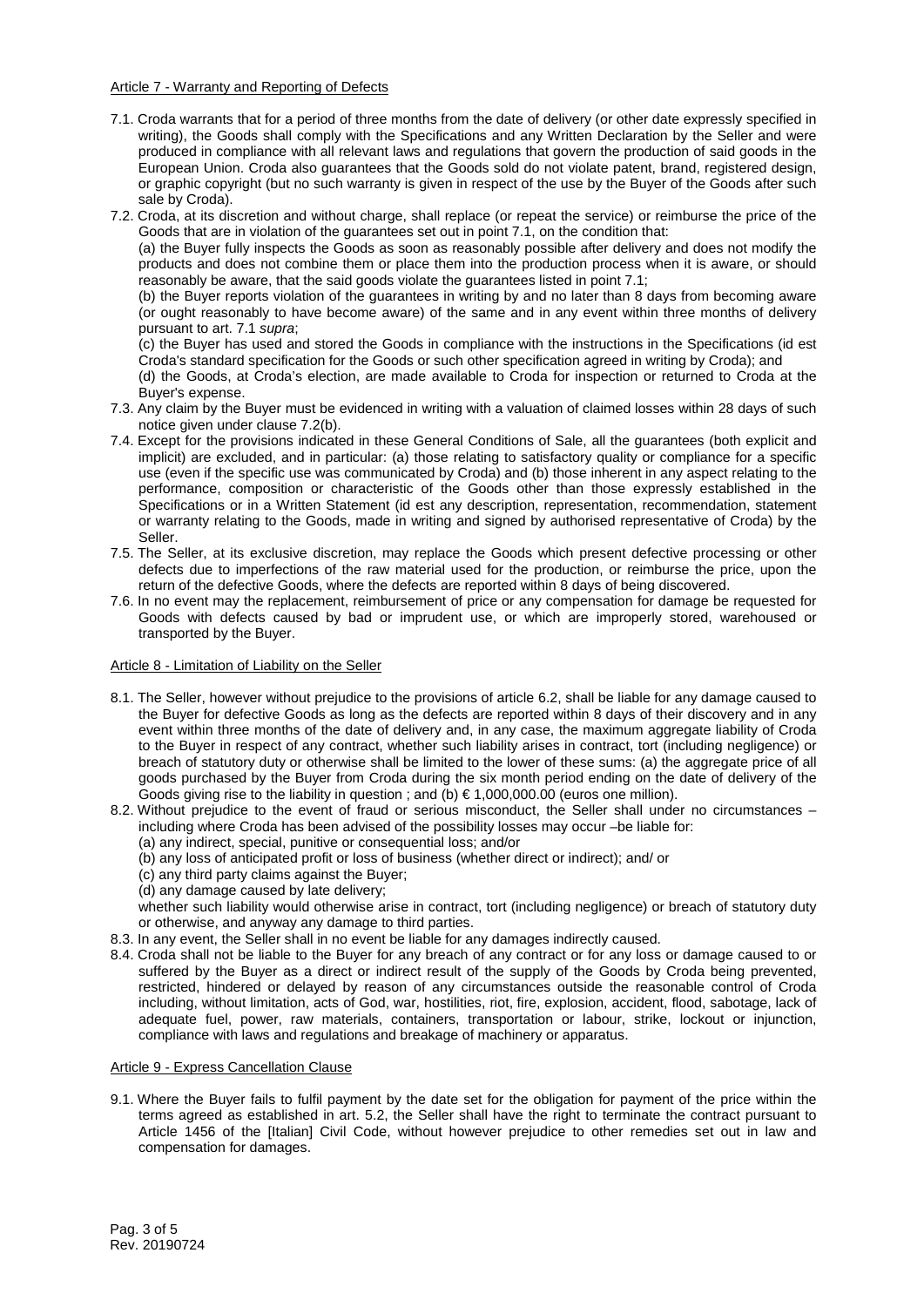# Article 7 - Warranty and Reporting of Defects

- 7.1. Croda warrants that for a period of three months from the date of delivery (or other date expressly specified in writing), the Goods shall comply with the Specifications and any Written Declaration by the Seller and were produced in compliance with all relevant laws and regulations that govern the production of said goods in the European Union. Croda also guarantees that the Goods sold do not violate patent, brand, registered design, or graphic copyright (but no such warranty is given in respect of the use by the Buyer of the Goods after such sale by Croda).
- 7.2. Croda, at its discretion and without charge, shall replace (or repeat the service) or reimburse the price of the Goods that are in violation of the guarantees set out in point 7.1, on the condition that:

(a) the Buyer fully inspects the Goods as soon as reasonably possible after delivery and does not modify the products and does not combine them or place them into the production process when it is aware, or should reasonably be aware, that the said goods violate the guarantees listed in point 7.1;

(b) the Buyer reports violation of the guarantees in writing by and no later than 8 days from becoming aware (or ought reasonably to have become aware) of the same and in any event within three months of delivery pursuant to art. 7.1 *supra*;

(c) the Buyer has used and stored the Goods in compliance with the instructions in the Specifications (id est Croda's standard specification for the Goods or such other specification agreed in writing by Croda); and

(d) the Goods, at Croda's election, are made available to Croda for inspection or returned to Croda at the Buyer's expense.

- 7.3. Any claim by the Buyer must be evidenced in writing with a valuation of claimed losses within 28 days of such notice given under clause 7.2(b).
- 7.4. Except for the provisions indicated in these General Conditions of Sale, all the guarantees (both explicit and implicit) are excluded, and in particular: (a) those relating to satisfactory quality or compliance for a specific use (even if the specific use was communicated by Croda) and (b) those inherent in any aspect relating to the performance, composition or characteristic of the Goods other than those expressly established in the Specifications or in a Written Statement (id est any description, representation, recommendation, statement or warranty relating to the Goods, made in writing and signed by authorised representative of Croda) by the Seller.
- 7.5. The Seller, at its exclusive discretion, may replace the Goods which present defective processing or other defects due to imperfections of the raw material used for the production, or reimburse the price, upon the return of the defective Goods, where the defects are reported within 8 days of being discovered.
- 7.6. In no event may the replacement, reimbursement of price or any compensation for damage be requested for Goods with defects caused by bad or imprudent use, or which are improperly stored, warehoused or transported by the Buyer.

### Article 8 - Limitation of Liability on the Seller

- 8.1. The Seller, however without prejudice to the provisions of article 6.2, shall be liable for any damage caused to the Buyer for defective Goods as long as the defects are reported within 8 days of their discovery and in any event within three months of the date of delivery and, in any case, the maximum aggregate liability of Croda to the Buyer in respect of any contract, whether such liability arises in contract, tort (including negligence) or breach of statutory duty or otherwise shall be limited to the lower of these sums: (a) the aggregate price of all goods purchased by the Buyer from Croda during the six month period ending on the date of delivery of the Goods giving rise to the liability in question ; and  $(b) \in 1,000,000.00$  (euros one million).
- 8.2. Without prejudice to the event of fraud or serious misconduct, the Seller shall under no circumstances including where Croda has been advised of the possibility losses may occur –be liable for:
	- (a) any indirect, special, punitive or consequential loss; and/or
	- (b) any loss of anticipated profit or loss of business (whether direct or indirect); and/ or
	- (c) any third party claims against the Buyer;
	- (d) any damage caused by late delivery;

whether such liability would otherwise arise in contract, tort (including negligence) or breach of statutory duty or otherwise, and anyway any damage to third parties.

- 8.3. In any event, the Seller shall in no event be liable for any damages indirectly caused.
- 8.4. Croda shall not be liable to the Buyer for any breach of any contract or for any loss or damage caused to or suffered by the Buyer as a direct or indirect result of the supply of the Goods by Croda being prevented, restricted, hindered or delayed by reason of any circumstances outside the reasonable control of Croda including, without limitation, acts of God, war, hostilities, riot, fire, explosion, accident, flood, sabotage, lack of adequate fuel, power, raw materials, containers, transportation or labour, strike, lockout or injunction, compliance with laws and regulations and breakage of machinery or apparatus.

### Article 9 - Express Cancellation Clause

9.1. Where the Buyer fails to fulfil payment by the date set for the obligation for payment of the price within the terms agreed as established in art. 5.2, the Seller shall have the right to terminate the contract pursuant to Article 1456 of the [Italian] Civil Code, without however prejudice to other remedies set out in law and compensation for damages.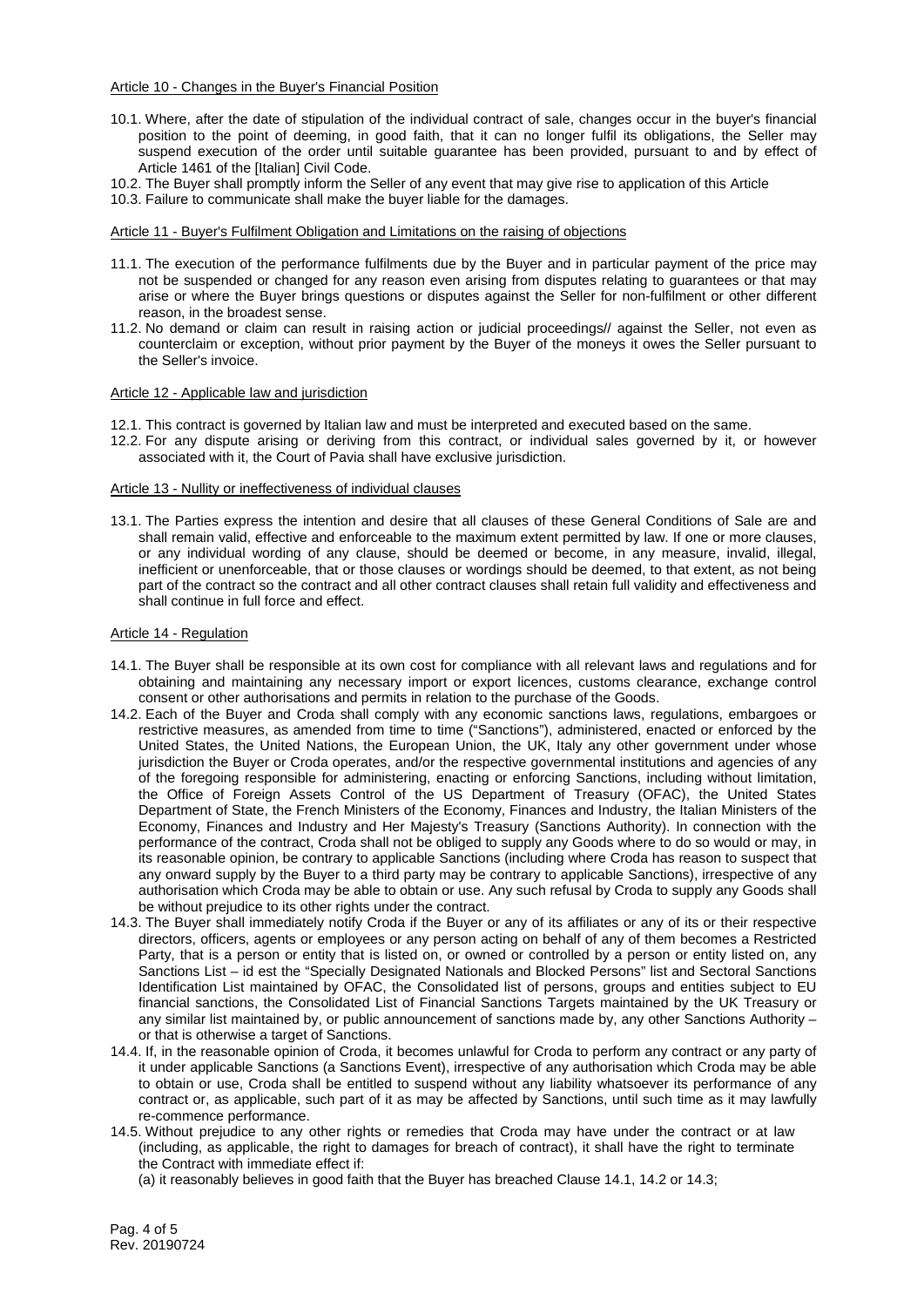#### Article 10 - Changes in the Buyer's Financial Position

- 10.1. Where, after the date of stipulation of the individual contract of sale, changes occur in the buyer's financial position to the point of deeming, in good faith, that it can no longer fulfil its obligations, the Seller may suspend execution of the order until suitable guarantee has been provided, pursuant to and by effect of Article 1461 of the [Italian] Civil Code.
- 10.2. The Buyer shall promptly inform the Seller of any event that may give rise to application of this Article
- 10.3. Failure to communicate shall make the buyer liable for the damages.

### Article 11 - Buyer's Fulfilment Obligation and Limitations on the raising of objections

- 11.1. The execution of the performance fulfilments due by the Buyer and in particular payment of the price may not be suspended or changed for any reason even arising from disputes relating to guarantees or that may arise or where the Buyer brings questions or disputes against the Seller for non-fulfilment or other different reason, in the broadest sense.
- 11.2. No demand or claim can result in raising action or judicial proceedings// against the Seller, not even as counterclaim or exception, without prior payment by the Buyer of the moneys it owes the Seller pursuant to the Seller's invoice.

#### Article 12 - Applicable law and jurisdiction

- 12.1. This contract is governed by Italian law and must be interpreted and executed based on the same.
- 12.2. For any dispute arising or deriving from this contract, or individual sales governed by it, or however associated with it, the Court of Pavia shall have exclusive jurisdiction.

#### Article 13 - Nullity or ineffectiveness of individual clauses

13.1. The Parties express the intention and desire that all clauses of these General Conditions of Sale are and shall remain valid, effective and enforceable to the maximum extent permitted by law. If one or more clauses, or any individual wording of any clause, should be deemed or become, in any measure, invalid, illegal, inefficient or unenforceable, that or those clauses or wordings should be deemed, to that extent, as not being part of the contract so the contract and all other contract clauses shall retain full validity and effectiveness and shall continue in full force and effect.

#### Article 14 - Regulation

- 14.1. The Buyer shall be responsible at its own cost for compliance with all relevant laws and regulations and for obtaining and maintaining any necessary import or export licences, customs clearance, exchange control consent or other authorisations and permits in relation to the purchase of the Goods.
- 14.2. Each of the Buyer and Croda shall comply with any economic sanctions laws, regulations, embargoes or restrictive measures, as amended from time to time ("Sanctions"), administered, enacted or enforced by the United States, the United Nations, the European Union, the UK, Italy any other government under whose jurisdiction the Buyer or Croda operates, and/or the respective governmental institutions and agencies of any of the foregoing responsible for administering, enacting or enforcing Sanctions, including without limitation, the Office of Foreign Assets Control of the US Department of Treasury (OFAC), the United States Department of State, the French Ministers of the Economy, Finances and Industry, the Italian Ministers of the Economy, Finances and Industry and Her Majesty's Treasury (Sanctions Authority). In connection with the performance of the contract, Croda shall not be obliged to supply any Goods where to do so would or may, in its reasonable opinion, be contrary to applicable Sanctions (including where Croda has reason to suspect that any onward supply by the Buyer to a third party may be contrary to applicable Sanctions), irrespective of any authorisation which Croda may be able to obtain or use. Any such refusal by Croda to supply any Goods shall be without prejudice to its other rights under the contract.
- 14.3. The Buyer shall immediately notify Croda if the Buyer or any of its affiliates or any of its or their respective directors, officers, agents or employees or any person acting on behalf of any of them becomes a Restricted Party, that is a person or entity that is listed on, or owned or controlled by a person or entity listed on, any Sanctions List – id est the "Specially Designated Nationals and Blocked Persons" list and Sectoral Sanctions Identification List maintained by OFAC, the Consolidated list of persons, groups and entities subject to EU financial sanctions, the Consolidated List of Financial Sanctions Targets maintained by the UK Treasury or any similar list maintained by, or public announcement of sanctions made by, any other Sanctions Authority – or that is otherwise a target of Sanctions.
- 14.4. If, in the reasonable opinion of Croda, it becomes unlawful for Croda to perform any contract or any party of it under applicable Sanctions (a Sanctions Event), irrespective of any authorisation which Croda may be able to obtain or use, Croda shall be entitled to suspend without any liability whatsoever its performance of any contract or, as applicable, such part of it as may be affected by Sanctions, until such time as it may lawfully re-commence performance.
- 14.5. Without prejudice to any other rights or remedies that Croda may have under the contract or at law (including, as applicable, the right to damages for breach of contract), it shall have the right to terminate the Contract with immediate effect if:
	- (a) it reasonably believes in good faith that the Buyer has breached Clause 14.1, 14.2 or 14.3;